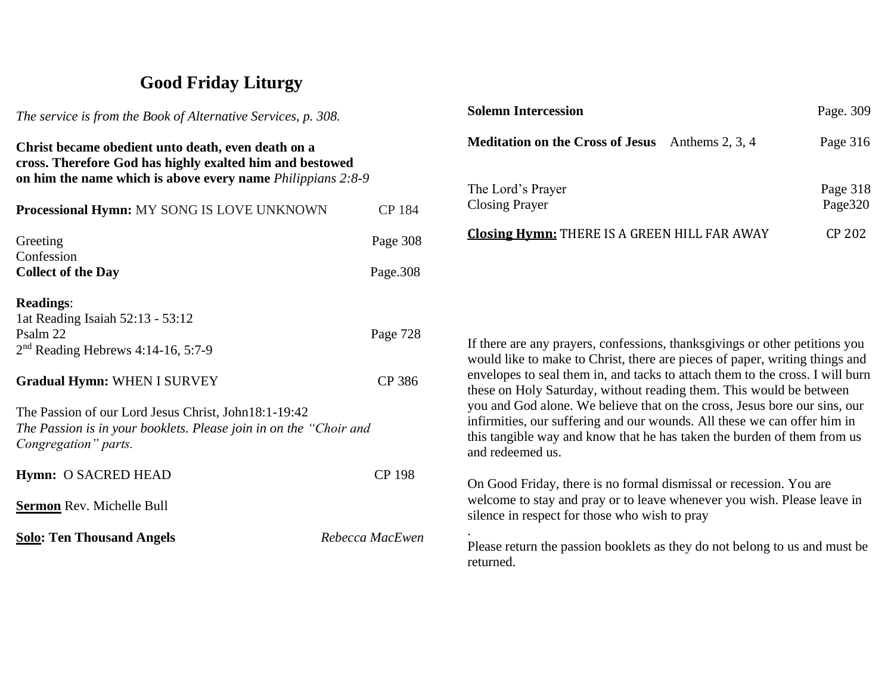## **Good Friday Liturgy**

*The service is from the Book of Alternative Services, p. 308.* **Christ became obedient unto death, even death on a cross. Therefore God has highly exalted him and bestowed on him the name which is above every name** *Philippians 2:8-9* **Processional Hymn:** MY SONG IS LOVE UNKNOWN CP 184 Greeting Page 308 Confession **Collect of the Day** Page.308 **Readings**: 1at Reading Isaiah 52:13 - 53:12 Psalm 22 Page 728 2<sup>nd</sup> Reading Hebrews 4:14-16, 5:7-9 Gradual Hymn: WHEN I SURVEY CP 386 The Passion of our Lord Jesus Christ, John18:1-19:42 *The Passion is in your booklets. Please join in on the "Choir and Congregation" parts.* **Hymn:** O SACRED HEAD CP 198 **Sermon** Rev. Michelle Bull **Solo: Ten Thousand Angels** *Rebecca MacEwen*

| <b>Solemn Intercession</b>                                   | Page. 309           |
|--------------------------------------------------------------|---------------------|
| <b>Meditation on the Cross of Jesus</b><br>Anthems $2, 3, 4$ | Page 316            |
| The Lord's Prayer<br><b>Closing Prayer</b>                   | Page 318<br>Page320 |
| <b>Closing Hymn: THERE IS A GREEN HILL FAR AWAY</b>          | CP 202              |

If there are any prayers, confessions, thanksgivings or other petitions you would like to make to Christ, there are pieces of paper, writing things and envelopes to seal them in, and tacks to attach them to the cross. I will burn these on Holy Saturday, without reading them. This would be between you and God alone. We believe that on the cross, Jesus bore our sins, our infirmities, our suffering and our wounds. All these we can offer him in this tangible way and know that he has taken the burden of them from us and redeemed us.

On Good Friday, there is no formal dismissal or recession. You are welcome to stay and pray or to leave whenever you wish. Please leave in silence in respect for those who wish to pray

.

Please return the passion booklets as they do not belong to us and must be returned.